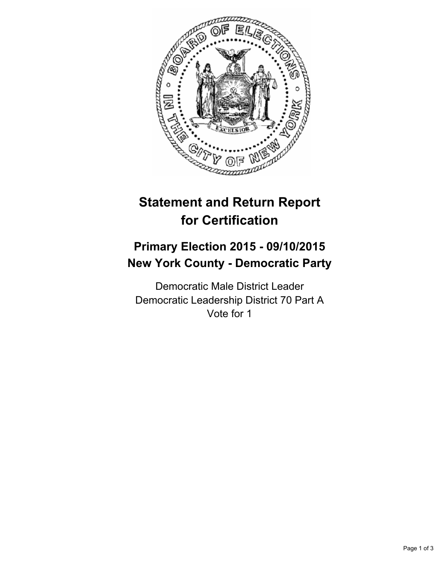

# **Statement and Return Report for Certification**

## **Primary Election 2015 - 09/10/2015 New York County - Democratic Party**

Democratic Male District Leader Democratic Leadership District 70 Part A Vote for 1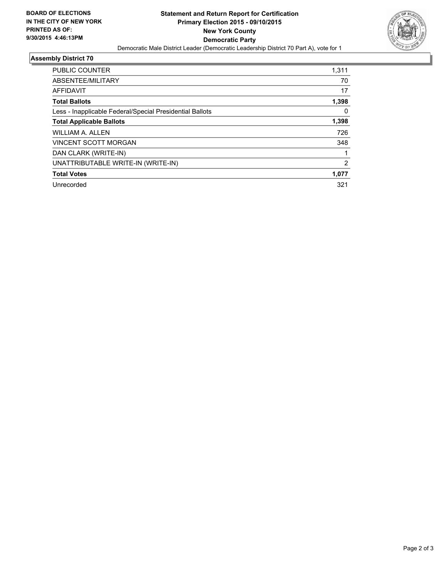

## **Assembly District 70**

| <b>PUBLIC COUNTER</b>                                    | 1,311 |
|----------------------------------------------------------|-------|
| ABSENTEE/MILITARY                                        | 70    |
| <b>AFFIDAVIT</b>                                         | 17    |
| <b>Total Ballots</b>                                     | 1,398 |
| Less - Inapplicable Federal/Special Presidential Ballots | 0     |
| <b>Total Applicable Ballots</b>                          | 1,398 |
| WILLIAM A. ALLEN                                         | 726   |
| <b>VINCENT SCOTT MORGAN</b>                              | 348   |
| DAN CLARK (WRITE-IN)                                     |       |
| UNATTRIBUTABLE WRITE-IN (WRITE-IN)                       | 2     |
| <b>Total Votes</b>                                       | 1,077 |
| Unrecorded                                               | 321   |